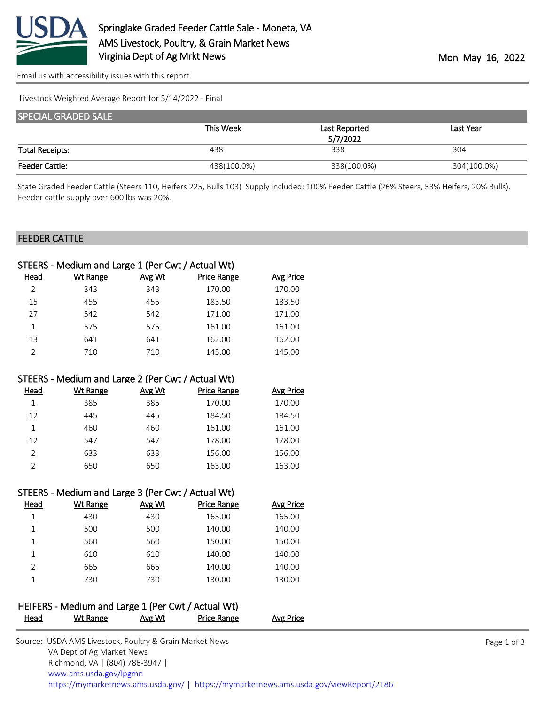

[Email us with accessibility issues with this report.](mailto:mars@ams.usda.gov?subject=508%20issue)

Livestock Weighted Average Report for 5/14/2022 - Final

| <b>SPECIAL GRADED SALE</b> |             |               |             |
|----------------------------|-------------|---------------|-------------|
|                            | This Week   | Last Reported | Last Year   |
|                            |             | 5/7/2022      |             |
| <b>Total Receipts:</b>     | 438         | 338           | 304         |
| <b>Feeder Cattle:</b>      | 438(100.0%) | 338(100.0%)   | 304(100.0%) |

State Graded Feeder Cattle (Steers 110, Heifers 225, Bulls 103) Supply included: 100% Feeder Cattle (26% Steers, 53% Heifers, 20% Bulls). Feeder cattle supply over 600 lbs was 20%.

## FEEDER CATTLE

|      | STEERS - Medium and Large 1 (Per Cwt / Actual Wt) |        |                    |                  |
|------|---------------------------------------------------|--------|--------------------|------------------|
| Head | <b>Wt Range</b>                                   | Avg Wt | <b>Price Range</b> | <b>Avg Price</b> |
|      | 343                                               | 343    | 170.00             | 170.00           |
| 15   | 455                                               | 455    | 183.50             | 183.50           |
| 27   | 542                                               | 542    | 171.00             | 171.00           |
| 1    | 575                                               | 575    | 161.00             | 161.00           |
| 13   | 641                                               | 641    | 162.00             | 162.00           |
|      | 710                                               | 710    | 145.00             | 145.00           |

### STEERS - Medium and Large 2 (Per Cwt / Actual Wt)

| Head          | Wt Range | Avg Wt | <b>Price Range</b> | <b>Avg Price</b> |
|---------------|----------|--------|--------------------|------------------|
|               | 385      | 385    | 170.00             | 170.00           |
| 12            | 445      | 445    | 184.50             | 184.50           |
| 1             | 460      | 460    | 161.00             | 161.00           |
| 12            | 547      | 547    | 178.00             | 178.00           |
| $\mathcal{P}$ | 633      | 633    | 156.00             | 156.00           |
|               | 650      | 650    | 163.00             | 163.00           |

### STEERS - Medium and Large 3 (Per Cwt / Actual Wt)

| Head | Wt Range | Avg Wt | Price Range | Avg Price |
|------|----------|--------|-------------|-----------|
|      | 430      | 430    | 165.00      | 165.00    |
|      | 500      | 500    | 140.00      | 140.00    |
|      | 560      | 560    | 150.00      | 150.00    |
|      | 610      | 610    | 140.00      | 140.00    |
| っ    | 665      | 665    | 140.00      | 140.00    |
|      | 730      | 730    | 130.00      | 130.00    |

## HEIFERS - Medium and Large 1 (Per Cwt / Actual Wt) Head Wt Range Avg Wt Price Range Avg Price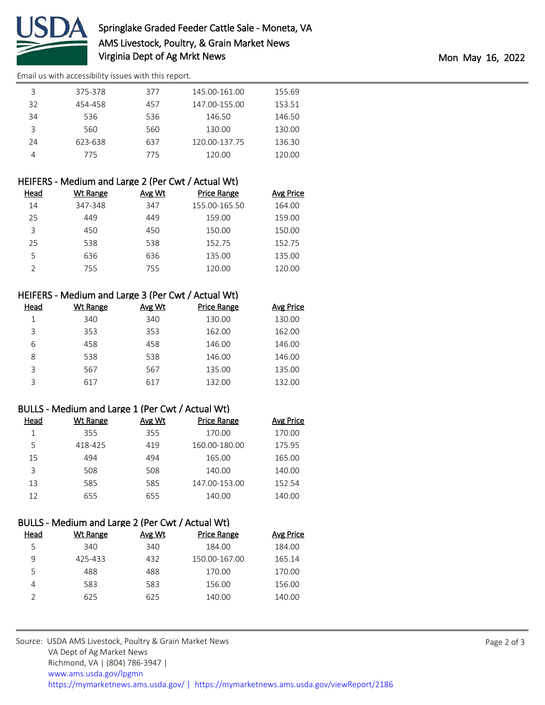

[Email us with accessibility issues with this report.](mailto:mars@ams.usda.gov?subject=508%20issue)

| 3  | 375-378 | 377 | 145.00-161.00 | 155.69 |
|----|---------|-----|---------------|--------|
| 32 | 454-458 | 457 | 147.00-155.00 | 153.51 |
| 34 | 536     | 536 | 146.50        | 146.50 |
| 3  | 560     | 560 | 130.00        | 130.00 |
| 24 | 623-638 | 637 | 120.00-137.75 | 136.30 |
|    | 775     | 775 | 120.00        | 120.00 |

| HEIFERS - Medium and Large 2 (Per Cwt / Actual Wt) |  |  |
|----------------------------------------------------|--|--|
|----------------------------------------------------|--|--|

| Head | Wt Range | Avg Wt | <b>Price Range</b> | <b>Avg Price</b> |
|------|----------|--------|--------------------|------------------|
| 14   | 347-348  | 347    | 155.00-165.50      | 164.00           |
| 25   | 449      | 449    | 159.00             | 159.00           |
| 3    | 450      | 450    | 150.00             | 150.00           |
| 25   | 538      | 538    | 152.75             | 152.75           |
| 5    | 636      | 636    | 135.00             | 135.00           |
|      | 755      | 755    | 120.00             | 120.00           |

# HEIFERS - Medium and Large 3 (Per Cwt / Actual Wt)

| Head | Wt Range | Avg Wt | <b>Price Range</b> | Avg Price |
|------|----------|--------|--------------------|-----------|
|      | 340      | 340    | 130.00             | 130.00    |
| 3    | 353      | 353    | 162.00             | 162.00    |
| 6    | 458      | 458    | 146.00             | 146.00    |
| 8    | 538      | 538    | 146.00             | 146.00    |
| ς    | 567      | 567    | 135.00             | 135.00    |
| ς    | 617      | 617    | 132.00             | 132.00    |

# BULLS - Medium and Large 1 (Per Cwt / Actual Wt)

| Head | Wt Range | Avg Wt | <b>Price Range</b> | <b>Avg Price</b> |
|------|----------|--------|--------------------|------------------|
|      | 355      | 355    | 170.00             | 170.00           |
| 5    | 418-425  | 419    | 160.00-180.00      | 175.95           |
| 15   | 494      | 494    | 165.00             | 165.00           |
| 3    | 508      | 508    | 140.00             | 140.00           |
| 13   | 585      | 585    | 147.00-153.00      | 152.54           |
| 12   | 655      | 655    | 140.00             | 140.00           |

# BULLS - Medium and Large 2 (Per Cwt / Actual Wt)

| Head | Wt Range | Avg Wt | Price Range   | Avg Price |
|------|----------|--------|---------------|-----------|
| 5    | 340      | 340    | 184.00        | 184.00    |
| 9    | 425-433  | 432    | 150.00-167.00 | 165.14    |
| 5    | 488      | 488    | 170.00        | 170.00    |
| 4    | 583      | 583    | 156.00        | 156.00    |
|      | 625      | 625    | 140.00        | 140.00    |
|      |          |        |               |           |